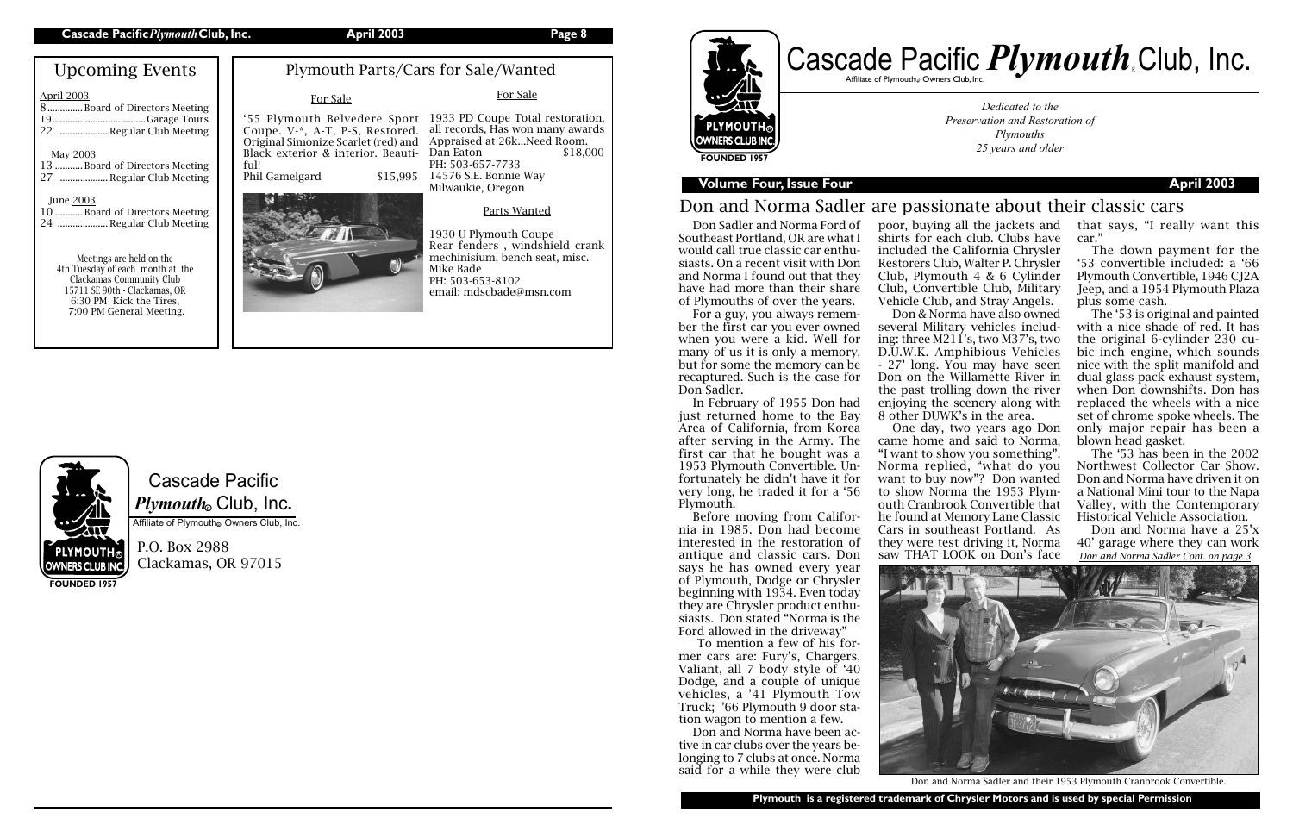Cascade Pacific *Plymouth*。Club, Inc.

Affiliate of Plymouth Owners Club, Inc.

P.O. Box 2988 Clackamas, OR 97015

# **PLYMOUTH** WNERS CLUB INC **FOUNDED 1957**



## **Volume Four, Issue Four April 2003**

7:00 PM General Meeting.

**FOUNDED 1957**

| <b>Upcoming Events</b>                                                                                                                                       | Ply                                                                             |
|--------------------------------------------------------------------------------------------------------------------------------------------------------------|---------------------------------------------------------------------------------|
| <b>April 2003</b><br>8Board of Directors Meeting<br>22  Regular Club Meeting<br><b>May 2003</b><br>13 Board of Directors Meeting<br>27  Regular Club Meeting | '55 Plymou<br>Coupe. V-*<br>Original Sim<br>Black exteri<br>ful!<br>Phil Gamelg |
| June 2003<br>10  Board of Directors Meeting<br>24  Regular Club Meeting                                                                                      |                                                                                 |
| Meetings are held on the<br>4th Tuesday of each month at the<br>Clackamas Community Club<br>15711 SE 90th - Clackamas, OR<br>6:30 PM Kick the Tires.         |                                                                                 |

*Dedicated to the Preservation and Restoration of Plymouths 25 years and older*

**Plymouth is a registered trademark of Chrysler Motors and is used by special Permission**

# Don and Norma Sadler are passionate about their classic cars

Don Sadler and Norma Ford of Southeast Portland, OR are what I would call true classic car enthusiasts. On a recent visit with Don and Norma I found out that they have had more than their share of Plymouths of over the years.

For a guy, you always remember the first car you ever owned when you were a kid. Well for many of us it is only a memory, but for some the memory can be recaptured. Such is the case for Don Sadler.

In February of 1955 Don had just returned home to the Bay Area of California, from Korea after serving in the Army. The first car that he bought was a 1953 Plymouth Convertible. Unfortunately he didn't have it for very long, he traded it for a '56 Plymouth.

Before moving from California in 1985. Don had become interested in the restoration of antique and classic cars. Don says he has owned every year of Plymouth, Dodge or Chrysler beginning with 1934. Even today they are Chrysler product enthusiasts. Don stated "Norma is the Ford allowed in the driveway"

Dan Eaton \$18,000 14576 S.E. Bonnie Way

## mouth Parts/Cars for Sale/Wanted For Sale '55 Plymouth Belvedere Sport 1933 PD Coupe Total restoration, Coupe. V-\*, A-T, P-S, Restored. all records, Has won many awards Original Simonize Scarlet (red) and Appraised at 26k...Need Room. ior & interior. Beautiard \$15,995 For Sale PH: 503-657-7733 Milwaukie, Oregon



 To mention a few of his former cars are: Fury's, Chargers, Valiant, all 7 body style of '40 Dodge, and a couple of unique vehicles, a '41 Plymouth Tow Truck; '66 Plymouth 9 door station wagon to mention a few.

Don and Norma have been active in car clubs over the years belonging to 7 clubs at once. Norma said for a while they were club poor, buying all the jackets and shirts for each club. Clubs have included the California Chrysler Restorers Club, Walter P. Chrysler Club, Plymouth 4 & 6 Cylinder Club, Convertible Club, Military Vehicle Club, and Stray Angels. Don & Norma have also owned

several Military vehicles including: three M211's, two M37's, two D.U.W.K. Amphibious Vehicles - 27' long. You may have seen Don on the Willamette River in the past trolling down the river

enjoying the scenery along with 8 other DUWK's in the area. One day, two years ago Don came home and said to Norma, "I want to show you something". Norma replied, "what do you want to buy now"? Don wanted to show Norma the 1953 Plymouth Cranbrook Convertible that he found at Memory Lane Classic Cars in southeast Portland. As they were test driving it, Norma saw THAT LOOK on Don's face



# Cascade Pacific *Plymouth* Club, Inc. Affiliate of Plymouth $_{\tiny \textcircled{\tiny \textcirc}}$  Owners Club, Inc.

that says, "I really want this car."

The down payment for the '53 convertible included: a '66 Plymouth Convertible, 1946 CJ2A Jeep, and a 1954 Plymouth Plaza plus some cash.

The '53 is original and painted with a nice shade of red. It has the original 6-cylinder 230 cubic inch engine, which sounds nice with the split manifold and dual glass pack exhaust system, when Don downshifts. Don has replaced the wheels with a nice set of chrome spoke wheels. The only major repair has been a blown head gasket.

The '53 has been in the 2002 Northwest Collector Car Show. Don and Norma have driven it on a National Mini tour to the Napa Valley, with the Contemporary Historical Vehicle Association.

Don and Norma have a 25'x 40' garage where they can work *Don and Norma Sadler Cont. on page 3*

Don and Norma Sadler and their 1953 Plymouth Cranbrook Convertible.

### Parts Wanted

1930 U Plymouth Coupe Rear fenders , windshield crank mechinisium, bench seat, misc. Mike Bade PH: 503-653-8102 email: mdscbade@msn.com

# **PLYMOUTH® OWNERS CLUB INC.**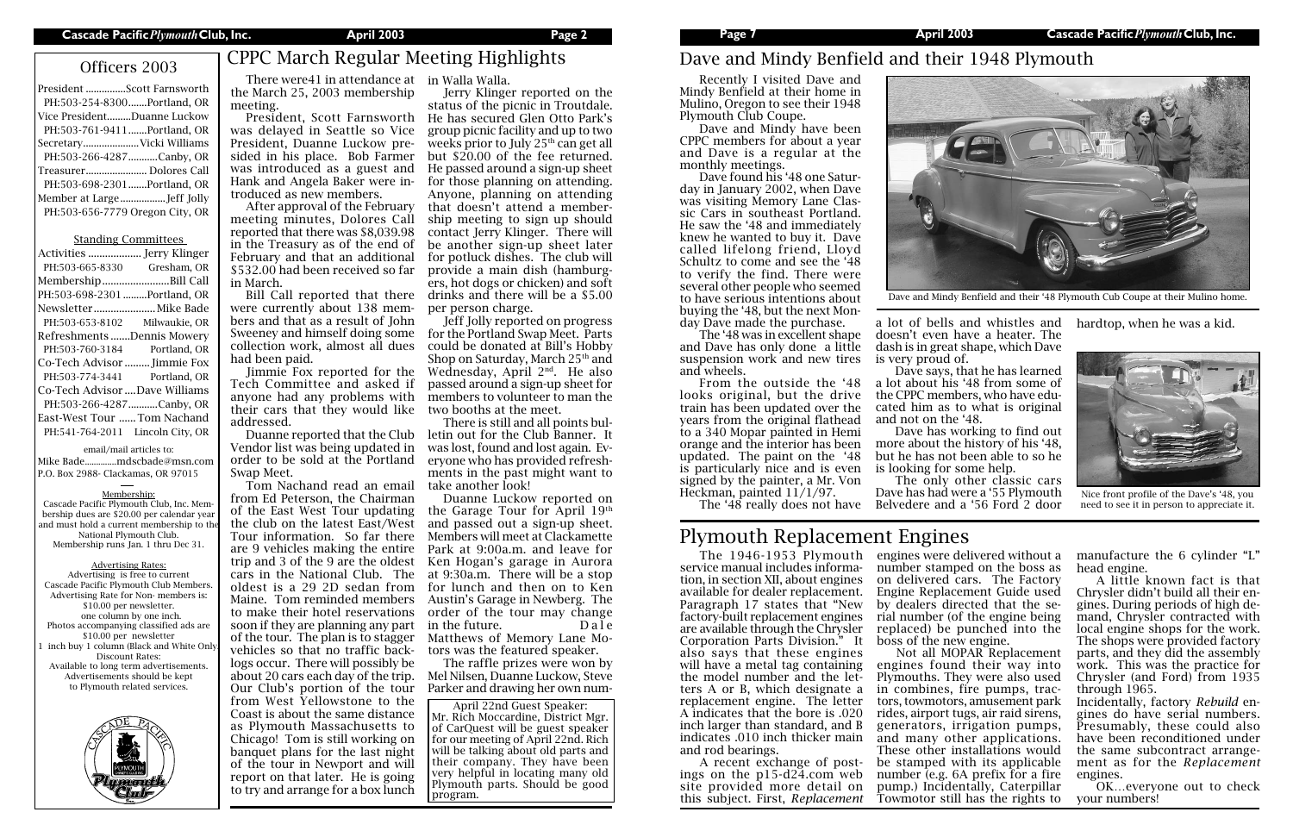| President Scott Farnsworth      |
|---------------------------------|
| PH:503-254-8300Portland, OR     |
| Vice PresidentDuanne Luckow     |
| PH:503-761-9411Portland, OR     |
| SecretaryVicki Williams         |
| PH:503-266-4287 Canby, OR       |
| Treasurer Dolores Call          |
| PH:503-698-2301 Portland, OR    |
|                                 |
| PH:503-656-7779 Oregon City, OR |
|                                 |

### Standing Committees

| PH:503-665-8330                  | Gresham, OR   |
|----------------------------------|---------------|
| MembershipBill Call              |               |
| PH:503-698-2301 Portland, OR     |               |
| Newsletter Mike Bade             |               |
| PH:503-653-8102                  | Milwaukie, OR |
| Refreshments Dennis Mowery       |               |
| PH:503-760-3184                  | Portland, OR  |
| Co-Tech Advisor  Jimmie Fox      |               |
| PH:503-774-3441 Portland, OR     |               |
| Co-Tech Advisor Dave Williams    |               |
| PH:503-266-4287 Canby, OR        |               |
| East-West Tour  Tom Nachand      |               |
| PH:541-764-2011 Lincoln City, OR |               |
|                                  |               |

### email/mail articles to:

Mike Bade..............mdscbade@msn.com P.O. Box 2988- Clackamas, OR 97015

### Membership:

Cascade Pacific Plymouth Club, Inc. Membership dues are \$20.00 per calendar year and must hold a current membership to the National Plymouth Club. Membership runs Jan. 1 thru Dec 31.

### Advertising Rates:

Advertising is free to current Cascade Pacific Plymouth Club Members. Advertising Rate for Non- members is: \$10.00 per newsletter. one column by one inch. Photos accompanying classified ads are \$10.00 per newsletter inch buy 1 column (Black and White Only Discount Rates: Available to long term advertisements. Advertisements should be kept to Plymouth related services.



April 22nd Guest Speaker: Mr. Rich Moccardine, District Mgr. of CarQuest will be guest speaker for our meeting of April 22nd. Rich will be talking about old parts and their company. They have been very helpful in locating many old Plymouth parts. Should be good program.

service manual includes information, in section XII, about engines available for dealer replacement. Paragraph 17 states that "New factory-built replacement engines are available through the Chrysler Corporation Parts Division." It also says that these engines will have a metal tag containing the model number and the letters A or B, which designate a replacement engine. The letter A indicates that the bore is .020 inch larger than standard, and B indicates .010 inch thicker main and rod bearings.

The 1946-1953 Plymouth engines were delivered without a number stamped on the boss as on delivered cars. The Factory Engine Replacement Guide used by dealers directed that the serial number (of the engine being replaced) be punched into the boss of the new engine.

A recent exchange of postings on the  $p15-d24$ .com web site provided more detail on this subject. First, *Replacement* 

Not all MOPAR Replacement engines found their way into Plymouths. They were also used in combines, fire pumps, tractors, towmotors, amusement park rides, airport tugs, air raid sirens, generators, irrigation pumps, and many other applications. These other installations would be stamped with its applicable number (e.g. 6A prefix for a fire pump.) Incidentally, Caterpillar Towmotor still has the rights to

Officers 2003 CPPC March Regular Meeting Highlights

# Plymouth Replacement Engines

There were41 in attendance at in Walla Walla. the March 25, 2003 membership meeting.

was delayed in Seattle so Vice President, Duanne Luckow presided in his place. Bob Farmer Hank and Angela Baker were introduced as new members.

Recently I visited Dave and Mindy Benfield at their home in Mulino, Oregon to see their 1948 Plymouth Club Coupe.

After approval of the February meeting minutes, Dolores Call reported that there was \$8,039.98 in the Treasury as of the end of February and that an additional \$532.00 had been received so far in March.

Bill Call reported that there were currently about 138 members and that as a result of John Sweeney and himself doing some collection work, almost all dues had been paid.

Jimmie Fox reported for the Tech Committee and asked if anyone had any problems with their cars that they would like addressed.

Duanne reported that the Club Vendor list was being updated in order to be sold at the Portland Swap Meet.

President, Scott Farnsworth He has secured Glen Otto Park's was introduced as a guest and He passed around a sign-up sheet Jerry Klinger reported on the status of the picnic in Troutdale. group picnic facility and up to two weeks prior to July 25<sup>th</sup> can get all but \$20.00 of the fee returned. for those planning on attending. Anyone, planning on attending that doesn't attend a membership meeting to sign up should contact Jerry Klinger. There will be another sign-up sheet later for potluck dishes. The club will provide a main dish (hamburgers, hot dogs or chicken) and soft drinks and there will be a \$5.00 per person charge.

Tom Nachand read an email from Ed Peterson, the Chairman of the East West Tour updating the club on the latest East/West Tour information. So far there are 9 vehicles making the entire trip and 3 of the 9 are the oldest cars in the National Club. The oldest is a 29 2D sedan from Maine. Tom reminded members to make their hotel reservations soon if they are planning any part of the tour. The plan is to stagger vehicles so that no traffic backlogs occur. There will possibly be about 20 cars each day of the trip. Our Club's portion of the tour from West Yellowstone to the Coast is about the same distance as Plymouth Massachusetts to Chicago! Tom is still working on banquet plans for the last night of the tour in Newport and will report on that later. He is going to try and arrange for a box lunch

Jeff Jolly reported on progress for the Portland Swap Meet. Parts could be donated at Bill's Hobby Shop on Saturday, March  $25<sup>th</sup>$  and Wednesday, April 2nd. He also passed around a sign-up sheet for members to volunteer to man the two booths at the meet.

There is still and all points bulletin out for the Club Banner. It was lost, found and lost again. Everyone who has provided refreshments in the past might want to take another look!

Duanne Luckow reported on the Garage Tour for April 19th and passed out a sign-up sheet. Members will meet at Clackamette Park at 9:00a.m. and leave for Ken Hogan's garage in Aurora at 9:30a.m. There will be a stop for lunch and then on to Ken Austin's Garage in Newberg. The order of the tour may change in the future. Dale Matthews of Memory Lane Motors was the featured speaker.

The raffle prizes were won by Mel Nilsen, Duanne Luckow, Steve Parker and drawing her own nummanufacture the 6 cylinder "L" head engine.

A little known fact is that Chrysler didn't build all their engines. During periods of high demand, Chrysler contracted with local engine shops for the work. The shops were provided factory parts, and they did the assembly work. This was the practice for Chrysler (and Ford) from 1935 through 1965.

Incidentally, factory *Rebuild* engines do have serial numbers. Presumably, these could also have been reconditioned under the same subcontract arrangement as for the *Replacement*  engines.

OK…everyone out to check your numbers!

Dave and Mindy have been CPPC members for about a year and Dave is a regular at the monthly meetings.

Dave found his '48 one Saturday in January 2002, when Dave was visiting Memory Lane Classic Cars in southeast Portland. He saw the '48 and immediately knew he wanted to buy it. Dave called lifelong friend, Lloyd Schultz to come and see the '48 to verify the find. There were several other people who seemed to have serious intentions about buying the '48, but the next Monday Dave made the purchase.

The '48 was in excellent shape and Dave has only done a little suspension work and new tires and wheels.

From the outside the '48 looks original, but the drive train has been updated over the years from the original flathead to a 340 Mopar painted in Hemi orange and the interior has been updated. The paint on the '48 is particularly nice and is even signed by the painter, a Mr. Von Heckman, painted 11/1/97.

a lot of bells and whistles and doesn't even have a heater. The dash is in great shape, which Dave is very proud of.

Dave says, that he has learned a lot about his '48 from some of the CPPC members, who have educated him as to what is original and not on the '48. Dave has working to find out

The '48 really does not have Belvedere and a '56 Ford 2 door The only other classic cars Dave has had were a '55 Plymouth

more about the history of his '48, but he has not been able to so he is looking for some help.

# Dave and Mindy Benfield and their 1948 Plymouth

hardtop, when he was a kid.



Dave and Mindy Benfield and their '48 Plymouth Cub Coupe at their Mulino home.



Nice front profile of the Dave's '48, you need to see it in person to appreciate it.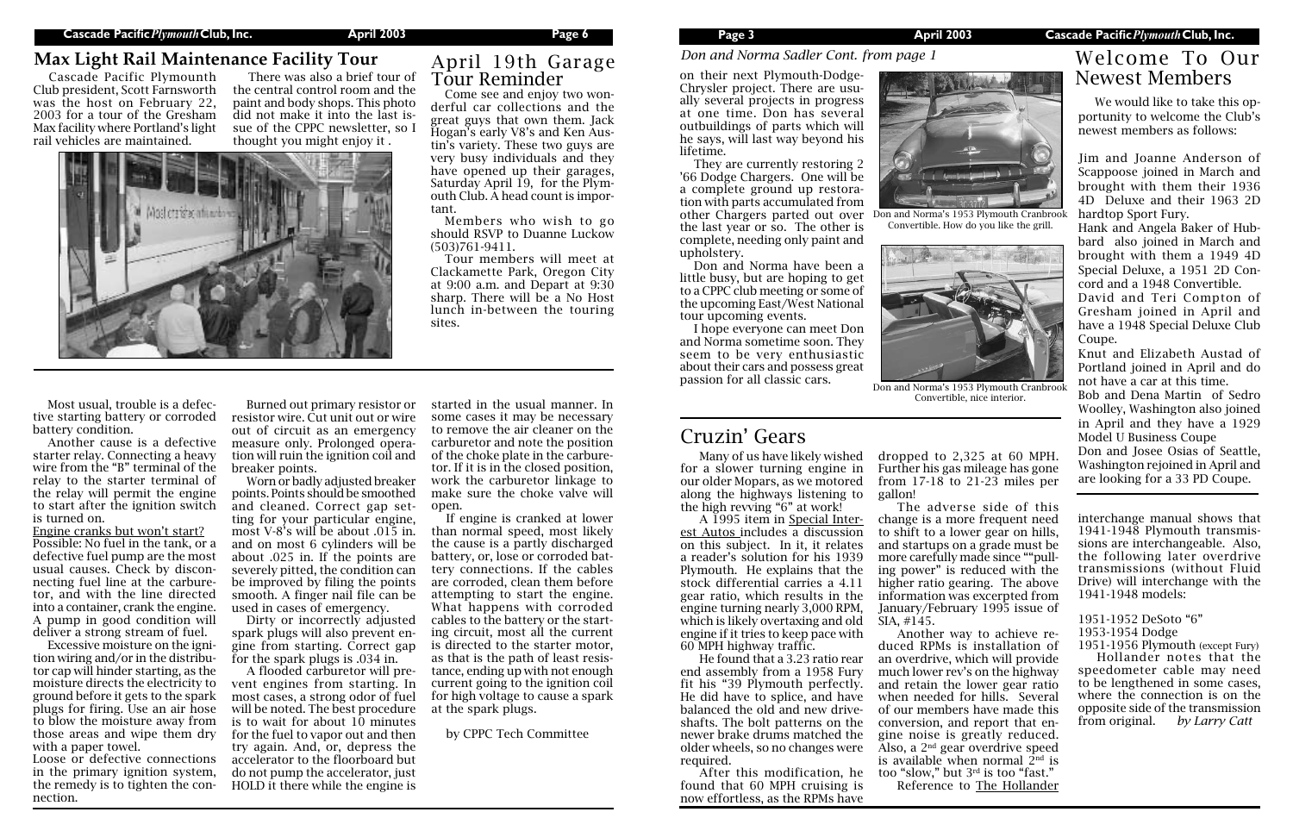Many of us have likely wished for a slower turning engine in our older Mopars, as we motored along the highways listening to the high revving "6" at work!

A 1995 item in Special Interest Autos includes a discussion on this subject. In it, it relates a reader's solution for his 1939 Plymouth. He explains that the stock differential carries a 4.11 gear ratio, which results in the engine turning nearly 3,000 RPM, which is likely overtaxing and old engine if it tries to keep pace with 60 MPH highway traffic.

He found that a 3.23 ratio rear end assembly from a 1958 Fury fit his "39 Plymouth perfectly. He did have to splice, and have balanced the old and new driveshafts. The bolt patterns on the newer brake drums matched the older wheels, so no changes were required.

 After this modification, he found that 60 MPH cruising is now effortless, as the RPMs have

dropped to 2,325 at 60 MPH. Further his gas mileage has gone from 17-18 to 21-23 miles per gallon!

The adverse side of this change is a more frequent need to shift to a lower gear on hills, and startups on a grade must be more carefully made since ""pulling power" is reduced with the higher ratio gearing. The above information was excerpted from January/February 1995 issue of SIA, #145.

Another way to achieve reduced RPMs is installation of an overdrive, which will provide much lower rev's on the highway and retain the lower gear ratio when needed for hills. Several of our members have made this conversion, and report that engine noise is greatly reduced. Also, a 2nd gear overdrive speed is available when normal  $2<sup>nd</sup>$  is too "slow," but 3rd is too "fast." Reference to The Hollander

# Cruzin' Gears

1951-1956 Plymouth (except Fury) Hollander notes that the speedometer cable may need to be lengthened in some cases, where the connection is on the opposite side of the transmission<br>from original. by Larry Catt from original.

We would like to take this opportunity to welcome the Club's newest members as follows:

Jim and Joanne Anderson of Scappoose joined in March and brought with them their 1936 4D Deluxe and their 1963 2D hardtop Sport Fury.

Hank and Angela Baker of Hubbard also joined in March and brought with them a 1949 4D Special Deluxe, a 1951 2D Concord and a 1948 Convertible.

David and Teri Compton of Gresham joined in April and have a 1948 Special Deluxe Club Coupe.

Knut and Elizabeth Austad of Portland joined in April and do not have a car at this time.

Bob and Dena Martin of Sedro Woolley, Washington also joined in April and they have a 1929 Model U Business Coupe

Don and Josee Osias of Seattle, Washington rejoined in April and are looking for a 33 PD Coupe.

# Welcome To Our

Chrysler project. There are usually several projects in progress at one time. Don has several outbuildings of parts which will he says, will last way beyond his lifetime.

They are currently restoring 2 '66 Dodge Chargers. One will be a complete ground up restoration with parts accumulated from other Chargers parted out over the last year or so. The other is complete, needing only paint and upholstery.

Don and Norma have been a little busy, but are hoping to get to a CPPC club meeting or some of the upcoming East/West National tour upcoming events.

I hope everyone can meet Don and Norma sometime soon. They seem to be very enthusiastic about their cars and possess great passion for all classic cars.

> interchange manual shows that 1941-1948 Plymouth transmissions are interchangeable. Also, the following later overdrive transmissions (without Fluid Drive) will interchange with the 1941-1948 models:

- 1951-1952 DeSoto "6"
- 1953-1954 Dodge



Don and Norma's 1953 Plymouth Cranbrool Convertible, nice interior.

Most usual, trouble is a defective starting battery or corroded battery condition.

Another cause is a defective starter relay. Connecting a heavy wire from the "B" terminal of the relay to the starter terminal of the relay will permit the engine to start after the ignition switch is turned on.

Engine cranks but won't start? Possible: No fuel in the tank, or a defective fuel pump are the most usual causes. Check by disconnecting fuel line at the carburetor, and with the line directed into a container, crank the engine. A pump in good condition will deliver a strong stream of fuel.

Excessive moisture on the ignition wiring and/or in the distributor cap will hinder starting, as the moisture directs the electricity to ground before it gets to the spark plugs for firing. Use an air hose to blow the moisture away from those areas and wipe them dry with a paper towel.

Loose or defective connections in the primary ignition system, the remedy is to tighten the connection.

Burned out primary resistor or resistor wire. Cut unit out or wire out of circuit as an emergency measure only. Prolonged operation will ruin the ignition coil and breaker points.



Don and Norma's 1953 Plymouth Cranbrook Convertible. How do you like the grill.

Worn or badly adjusted breaker points. Points should be smoothed and cleaned. Correct gap setting for your particular engine, most V-8's will be about .015 in. and on most 6 cylinders will be about .025 in. If the points are severely pitted, the condition can be improved by filing the points smooth. A finger nail file can be used in cases of emergency.

Dirty or incorrectly adjusted spark plugs will also prevent engine from starting. Correct gap for the spark plugs is .034 in.

A flooded carburetor will prevent engines from starting. In most cases, a strong odor of fuel will be noted. The best procedure is to wait for about 10 minutes for the fuel to vapor out and then try again. And, or, depress the accelerator to the floorboard but do not pump the accelerator, just HOLD it there while the engine is

started in the usual manner. In some cases it may be necessary to remove the air cleaner on the carburetor and note the position of the choke plate in the carburetor. If it is in the closed position, work the carburetor linkage to make sure the choke valve will open.

If engine is cranked at lower than normal speed, most likely the cause is a partly discharged battery, or, lose or corroded battery connections. If the cables are corroded, clean them before attempting to start the engine. What happens with corroded cables to the battery or the starting circuit, most all the current is directed to the starter motor, as that is the path of least resistance, ending up with not enough current going to the ignition coil for high voltage to cause a spark at the spark plugs.

by CPPC Tech Committee

### *Don and Norma Sadler Cont. from page 1*

Come see and enjoy two wonderful car collections and the great guys that own them. Jack Hogan's early V8's and Ken Austin's variety. These two guys are very busy individuals and they have opened up their garages, Saturday April 19, for the Plymouth Club. A head count is important.

Members who wish to go should RSVP to Duanne Luckow (503)761-9411.

Tour members will meet at Clackamette Park, Oregon City at 9:00 a.m. and Depart at 9:30 sharp. There will be a No Host lunch in-between the touring sites.

# April 19th Garage Tour Reminder

# **Max Light Rail Maintenance Facility Tour**

Cascade Pacific Plymounth Club president, Scott Farnsworth was the host on February 22, 2003 for a tour of the Gresham Max facility where Portland's light rail vehicles are maintained.

There was also a brief tour of the central control room and the paint and body shops. This photo did not make it into the last issue of the CPPC newsletter, so I thought you might enjoy it .